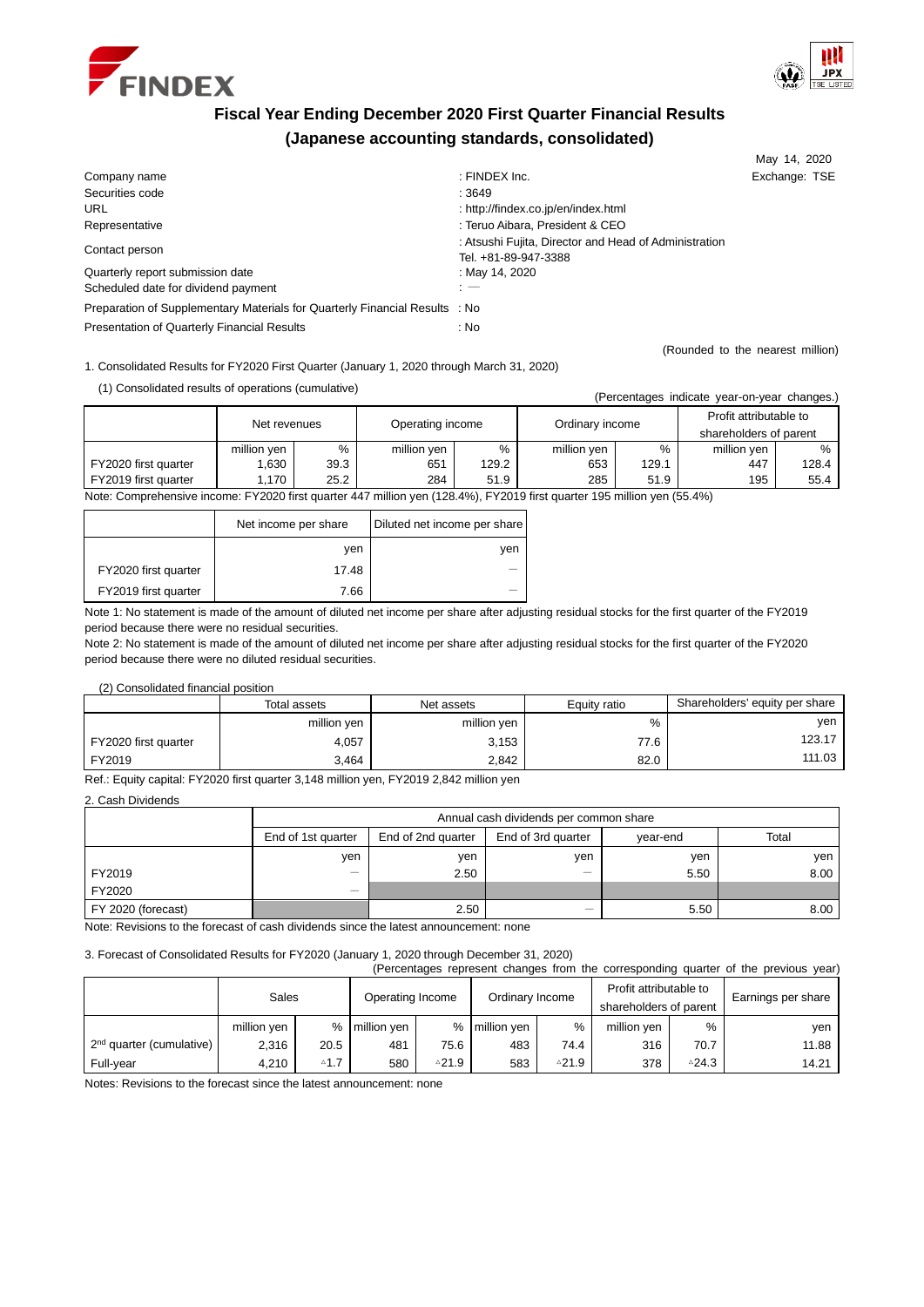



# **Fiscal Year Ending December 2020 First Quarter Financial Results (Japanese accounting standards, consolidated)**

|                                                                             |                                                                               | May 14, 2020                     |
|-----------------------------------------------------------------------------|-------------------------------------------------------------------------------|----------------------------------|
| Company name                                                                | : FINDEX $Inc$ .                                                              | Exchange: TSE                    |
| Securities code                                                             | : 3649                                                                        |                                  |
| URL                                                                         | : http://findex.co.jp/en/index.html                                           |                                  |
| Representative                                                              | : Teruo Aibara, President & CEO                                               |                                  |
| Contact person                                                              | : Atsushi Fujita, Director and Head of Administration<br>Tel. +81-89-947-3388 |                                  |
| Quarterly report submission date                                            | : May 14, 2020                                                                |                                  |
| Scheduled date for dividend payment                                         | $: -$                                                                         |                                  |
| Preparation of Supplementary Materials for Quarterly Financial Results : No |                                                                               |                                  |
| Presentation of Quarterly Financial Results                                 | : No                                                                          |                                  |
|                                                                             |                                                                               | (Rounded to the nearest million) |

1. Consolidated Results for FY2020 First Quarter (January 1, 2020 through March 31, 2020)

(1) Consolidated results of operations (cumulative) (Percentages indicate year-on-year changes.)

| ireiceiliaues illuicale veal-virveal cilaliues.i                                                                        |              |      |                  |       |                 |       |                        |       |
|-------------------------------------------------------------------------------------------------------------------------|--------------|------|------------------|-------|-----------------|-------|------------------------|-------|
|                                                                                                                         | Net revenues |      | Operating income |       | Ordinary income |       | Profit attributable to |       |
|                                                                                                                         |              |      |                  |       |                 |       | shareholders of parent |       |
|                                                                                                                         | million ven  | %    | million yen      | %     | million ven     | $\%$  | million yen            | $\%$  |
| FY2020 first quarter                                                                                                    | .630         | 39.3 | 651              | 129.2 | 653             | 129.1 | 447                    | 128.4 |
| FY2019 first quarter                                                                                                    | 1.170        | 25.2 | 284              | 51.9  | 285             | 51.9  | 195                    | 55.4  |
| Note: Comprehensive income: EV2020 first quarter 447 million ven (128.4%). EV2019 first quarter 195 million ven (55.4%) |              |      |                  |       |                 |       |                        |       |

Note: Comprehensive income: FY2020 first quarter 447 million yen (128.4%), FY2019 first quarter 195 million yen (55.4%)

|                      | Net income per share | Diluted net income per share |
|----------------------|----------------------|------------------------------|
|                      | ven                  | ven                          |
| FY2020 first quarter | 17.48                |                              |
| FY2019 first quarter | 7.66                 |                              |

Note 1: No statement is made of the amount of diluted net income per share after adjusting residual stocks for the first quarter of the FY2019 period because there were no residual securities.

Note 2: No statement is made of the amount of diluted net income per share after adjusting residual stocks for the first quarter of the FY2020 period because there were no diluted residual securities.

(2) Consolidated financial position

|                      | Total assets | Net assets  | Equity ratio | Shareholders' equity per share |
|----------------------|--------------|-------------|--------------|--------------------------------|
|                      | million yen  | million yen | %            | ven                            |
| FY2020 first quarter | 4,057        | 3,153       | 77.6         | 123.17                         |
| FY2019               | 3.464        | 2.842       | 82.0         | 111.03                         |

Ref.: Equity capital: FY2020 first quarter 3,148 million yen, FY2019 2,842 million yen

2. Cash Dividends

|                    |                          | Annual cash dividends per common share                        |     |      |       |  |  |
|--------------------|--------------------------|---------------------------------------------------------------|-----|------|-------|--|--|
|                    | End of 1st quarter       | Total<br>End of 2nd quarter<br>End of 3rd quarter<br>vear-end |     |      |       |  |  |
|                    | yen                      | yen                                                           | ven | yen  | yen I |  |  |
| FY2019             | $\overline{\phantom{a}}$ | 2.50                                                          |     | 5.50 | 8.00  |  |  |
| FY2020             | $\overline{\phantom{a}}$ |                                                               |     |      |       |  |  |
| FY 2020 (forecast) |                          | 2.50                                                          | —   | 5.50 | 8.00  |  |  |

Note: Revisions to the forecast of cash dividends since the latest announcement: none

3. Forecast of Consolidated Results for FY2020 (January 1, 2020 through December 31, 2020)

| (Percentages represent changes from the corresponding quarter of the previous year) |             |                |                  |          |                 |       |                        |                        |                    |  |
|-------------------------------------------------------------------------------------|-------------|----------------|------------------|----------|-----------------|-------|------------------------|------------------------|--------------------|--|
|                                                                                     | Sales       |                | Operating Income |          | Ordinary Income |       | Profit attributable to |                        | Earnings per share |  |
|                                                                                     |             |                |                  |          |                 |       |                        | shareholders of parent |                    |  |
|                                                                                     | million yen |                | % million yen    |          | % million yen   | %     | million yen            | %                      | ven                |  |
| 2 <sup>nd</sup> quarter (cumulative)                                                | 2,316       | 20.5           | 481              | 75.6     | 483             | 74.4  | 316                    | 70.7                   | 11.88              |  |
| Full-year                                                                           | 4,210       | $^{\circ}$ 1.7 | 580              | △ $21.9$ | 583             | ≙21.9 | 378                    | △24.3                  | 14.21              |  |

Notes: Revisions to the forecast since the latest announcement: none